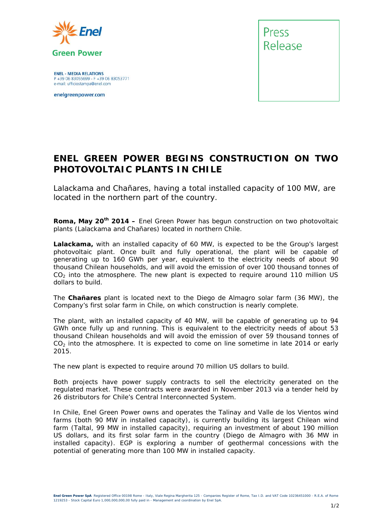

**ENEL - MEDIA RELATIONS** P +39 06 83055699 - F +39 06 83053771 e-mail: ufficiostampa@enel.com

enelgreenpower.com



## **ENEL GREEN POWER BEGINS CONSTRUCTION ON TWO PHOTOVOLTAIC PLANTS IN CHILE**

*Lalackama and Chañares, having a total installed capacity of 100 MW, are located in the northern part of the country.* 

**Roma, May 20th 2014** *–* Enel Green Power has begun construction on two photovoltaic plants (Lalackama and Chañares) located in northern Chile.

**Lalackama,** with an installed capacity of 60 MW, is expected to be the Group's largest photovoltaic plant. Once built and fully operational, the plant will be capable of generating up to 160 GWh per year, equivalent to the electricity needs of about 90 thousand Chilean households, and will avoid the emission of over 100 thousand tonnes of  $CO<sub>2</sub>$  into the atmosphere. The new plant is expected to require around 110 million US dollars to build.

The **Chañares** plant is located next to the Diego de Almagro solar farm (36 MW), the Company's first solar farm in Chile, on which construction is nearly complete.

The plant, with an installed capacity of 40 MW, will be capable of generating up to 94 GWh once fully up and running. This is equivalent to the electricity needs of about 53 thousand Chilean households and will avoid the emission of over 59 thousand tonnes of  $CO<sub>2</sub>$  into the atmosphere. It is expected to come on line sometime in late 2014 or early 2015.

The new plant is expected to require around 70 million US dollars to build.

Both projects have power supply contracts to sell the electricity generated on the regulated market. These contracts were awarded in November 2013 via a tender held by 26 distributors for Chile's Central Interconnected System.

In Chile, Enel Green Power owns and operates the Talinay and Valle de los Vientos wind farms (both 90 MW in installed capacity), is currently building its largest Chilean wind farm (Taltal, 99 MW in installed capacity), requiring an investment of about 190 million US dollars, and its first solar farm in the country (Diego de Almagro with 36 MW in installed capacity). EGP is exploring a number of geothermal concessions with the potential of generating more than 100 MW in installed capacity.